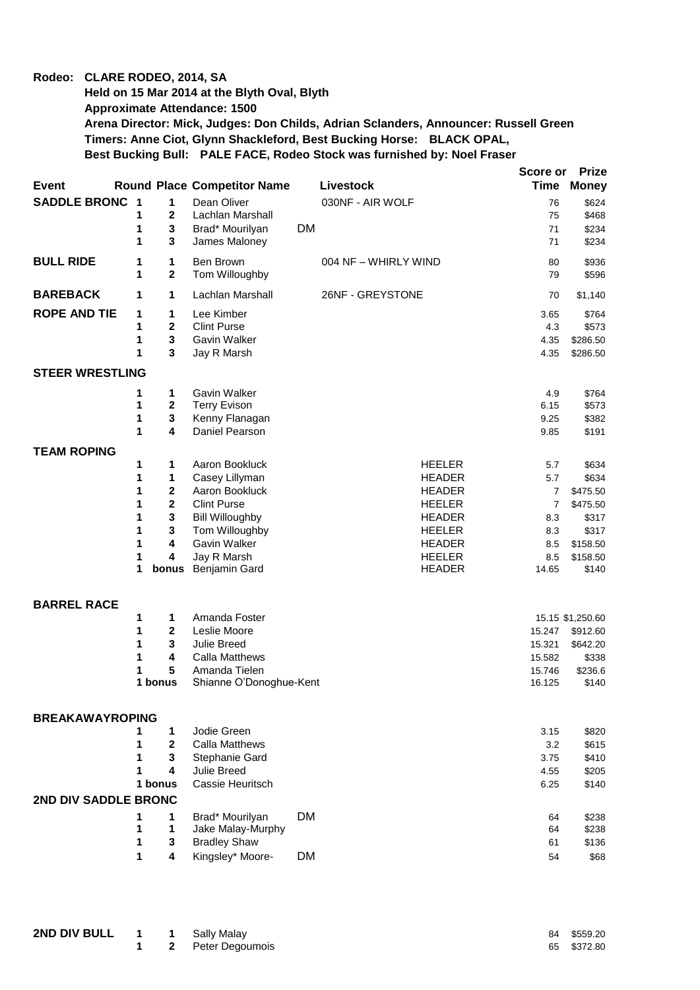## **Rodeo: CLARE RODEO, 2014, SA**

## **Held on 15 Mar 2014 at the Blyth Oval, Blyth**

**Approximate Attendance: 1500**

**Arena Director: Mick, Judges: Don Childs, Adrian Sclanders, Announcer: Russell Green Timers: Anne Ciot, Glynn Shackleford, Best Bucking Horse: BLACK OPAL, Best Bucking Bull: PALE FACE, Rodeo Stock was furnished by: Noel Fraser**

|                        |        |                         |                                    |           |                                | Score or     | <b>Prize</b>      |
|------------------------|--------|-------------------------|------------------------------------|-----------|--------------------------------|--------------|-------------------|
| <b>Event</b>           |        |                         | <b>Round Place Competitor Name</b> |           | Livestock                      | Time         | <b>Money</b>      |
| <b>SADDLE BRONC 1</b>  |        | 1                       | Dean Oliver                        |           | 030NF - AIR WOLF               | 76           | \$624             |
|                        | 1      | $\mathbf 2$             | Lachlan Marshall                   |           |                                | 75           | \$468             |
|                        | 1      | $\mathbf 3$             | Brad* Mourilyan                    | <b>DM</b> |                                | 71           | \$234             |
|                        | 1      | 3                       | James Maloney                      |           |                                | 71           | \$234             |
|                        |        |                         |                                    |           |                                |              |                   |
| <b>BULL RIDE</b>       | 1      | 1                       | Ben Brown                          |           | 004 NF - WHIRLY WIND           | 80           | \$936             |
|                        | 1      | 2                       | Tom Willoughby                     |           |                                | 79           | \$596             |
| <b>BAREBACK</b>        | 1      | 1                       | Lachlan Marshall                   |           | 26NF - GREYSTONE               | 70           | \$1,140           |
| <b>ROPE AND TIE</b>    | 1      | 1                       | Lee Kimber                         |           |                                | 3.65         | \$764             |
|                        | 1      | $\overline{\mathbf{2}}$ | <b>Clint Purse</b>                 |           |                                | 4.3          | \$573             |
|                        | 1      | $\mathbf 3$             | Gavin Walker                       |           |                                | 4.35         | \$286.50          |
|                        | 1      | 3                       | Jay R Marsh                        |           |                                | 4.35         | \$286.50          |
|                        |        |                         |                                    |           |                                |              |                   |
| <b>STEER WRESTLING</b> |        |                         |                                    |           |                                |              |                   |
|                        | 1      | 1                       | Gavin Walker                       |           |                                | 4.9          | \$764             |
|                        | 1      | $\mathbf 2$             | <b>Terry Evison</b>                |           |                                | 6.15         | \$573             |
|                        | 1      | 3                       | Kenny Flanagan                     |           |                                | 9.25         | \$382             |
|                        | 1      | $\overline{\mathbf{4}}$ | Daniel Pearson                     |           |                                | 9.85         | \$191             |
| <b>TEAM ROPING</b>     |        |                         |                                    |           |                                |              |                   |
|                        | 1      | 1                       | Aaron Bookluck                     |           | <b>HEELER</b>                  | 5.7          | \$634             |
|                        | 1      | 1                       | Casey Lillyman                     |           | <b>HEADER</b>                  | 5.7          | \$634             |
|                        | 1      | $\mathbf{2}$            | Aaron Bookluck                     |           | <b>HEADER</b>                  | 7            | \$475.50          |
|                        | 1      | $\mathbf{2}$            | <b>Clint Purse</b>                 |           | <b>HEELER</b>                  | 7            | \$475.50          |
|                        | 1      | $\mathbf 3$             | <b>Bill Willoughby</b>             |           | <b>HEADER</b>                  | 8.3          | \$317             |
|                        | 1      | $\mathbf 3$             | Tom Willoughby                     |           | <b>HEELER</b>                  |              |                   |
|                        | 1      | 4                       | Gavin Walker                       |           |                                | 8.3          | \$317             |
|                        |        |                         |                                    |           | <b>HEADER</b>                  | 8.5          | \$158.50          |
|                        | 1<br>1 | 4<br>bonus              | Jay R Marsh<br>Benjamin Gard       |           | <b>HEELER</b><br><b>HEADER</b> | 8.5<br>14.65 | \$158.50<br>\$140 |
|                        |        |                         |                                    |           |                                |              |                   |
| <b>BARREL RACE</b>     |        |                         |                                    |           |                                |              |                   |
|                        | 1      | 1                       | Amanda Foster                      |           |                                |              | 15.15 \$1,250.60  |
|                        | 1      | $\mathbf 2$             | Leslie Moore                       |           |                                | 15.247       | \$912.60          |
|                        | 1      | 3                       | Julie Breed                        |           |                                | 15.321       | \$642.20          |
|                        | 1      | 4                       | <b>Calla Matthews</b>              |           |                                | 15.582       | \$338             |
|                        | 1      | 5                       | Amanda Tielen                      |           |                                | 15.746       | \$236.6           |
|                        |        | 1 bonus                 | Shianne O'Donoghue-Kent            |           |                                | 16.125       | \$140             |
|                        |        |                         |                                    |           |                                |              |                   |
| <b>BREAKAWAYROPING</b> |        |                         |                                    |           |                                |              |                   |
|                        | 1      | 1                       | Jodie Green                        |           |                                | 3.15         | \$820             |
|                        | 1      | $\mathbf 2$             | Calla Matthews                     |           |                                | 3.2          | \$615             |
|                        | 1      | 3                       | Stephanie Gard                     |           |                                | 3.75         | \$410             |
|                        | 1      | 4                       | Julie Breed                        |           |                                | 4.55         | \$205             |
|                        |        | 1 bonus                 | Cassie Heuritsch                   |           |                                | 6.25         | \$140             |
| 2ND DIV SADDLE BRONC   |        |                         |                                    |           |                                |              |                   |
|                        |        |                         |                                    |           |                                |              |                   |
|                        | 1<br>1 | 1<br>1                  | Brad* Mourilyan                    | DM        |                                | 64           | \$238             |
|                        |        |                         | Jake Malay-Murphy                  |           |                                | 64           | \$238             |
|                        | 1      | 3                       | <b>Bradley Shaw</b>                |           |                                | 61           | \$136             |
|                        | 1      | 4                       | Kingsley* Moore-                   | <b>DM</b> |                                | 54           | \$68              |
|                        |        |                         |                                    |           |                                |              |                   |

| <b>2ND DIV BULL 1 1 Sally Malay</b> |  |                     | 84 \$559.20 |
|-------------------------------------|--|---------------------|-------------|
|                                     |  | 1 2 Peter Degoumois | 65 \$372.80 |